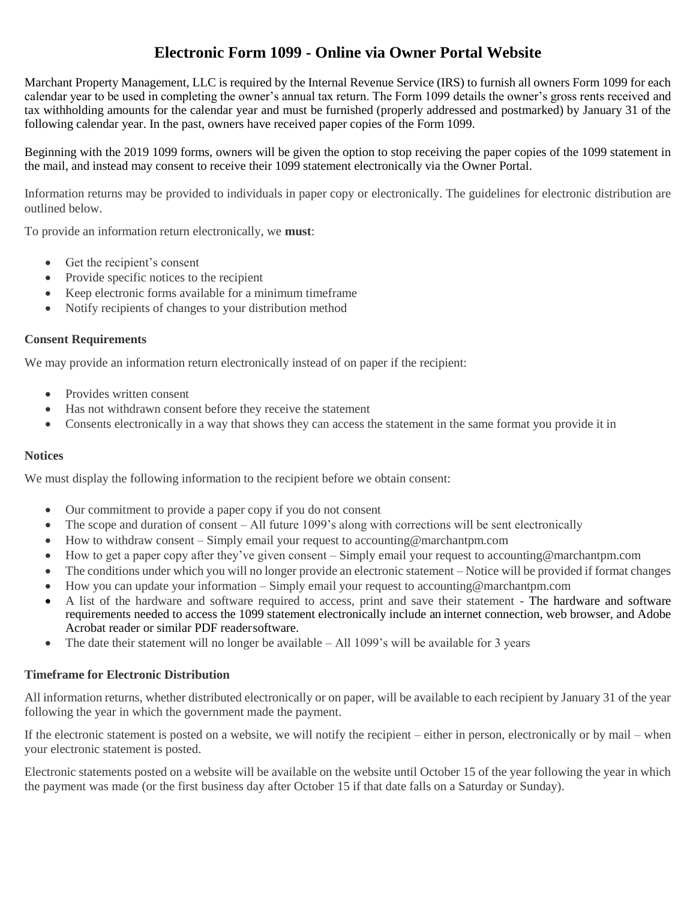# **Electronic Form 1099 - Online via Owner Portal Website**

Marchant Property Management, LLC is required by the Internal Revenue Service (IRS) to furnish all owners Form 1099 for each calendar year to be used in completing the owner's annual tax return. The Form 1099 details the owner's gross rents received and tax withholding amounts for the calendar year and must be furnished (properly addressed and postmarked) by January 31 of the following calendar year. In the past, owners have received paper copies of the Form 1099.

Beginning with the 2019 1099 forms, owners will be given the option to stop receiving the paper copies of the 1099 statement in the mail, and instead may consent to receive their 1099 statement electronically via the Owner Portal.

Information returns may be provided to individuals in paper copy or electronically. The guidelines for electronic distribution are outlined below.

To provide an information return electronically, we **must**:

- Get the recipient's consent
- Provide specific notices to the recipient
- Keep electronic forms available for a minimum timeframe
- Notify recipients of changes to your distribution method

## **Consent Requirements**

We may provide an information return electronically instead of on paper if the recipient:

- Provides written consent
- Has not withdrawn consent before they receive the statement
- Consents electronically in a way that shows they can access the statement in the same format you provide it in

## **Notices**

We must display the following information to the recipient before we obtain consent:

- Our commitment to provide a paper copy if you do not consent
- The scope and duration of consent All future 1099's along with corrections will be sent electronically
- How to withdraw consent Simply email your request to accounting @marchantpm.com
- How to get a paper copy after they've given consent Simply email your request to accounting@marchantpm.com
- The conditions under which you will no longer provide an electronic statement Notice will be provided if format changes
- How you can update your information Simply email your request to accounting@marchantpm.com
- A list of the hardware and software required to access, print and save their statement The hardware and software requirements needed to access the 1099 statement electronically include an internet connection, web browser, and Adobe Acrobat reader or similar PDF readersoftware.
- The date their statement will no longer be available All 1099's will be available for 3 years

## **Timeframe for Electronic Distribution**

All information returns, whether distributed electronically or on paper, will be available to each recipient by January 31 of the year following the year in which the government made the payment.

If the electronic statement is posted on a website, we will notify the recipient – either in person, electronically or by mail – when your electronic statement is posted.

Electronic statements posted on a website will be available on the website until October 15 of the year following the year in which the payment was made (or the first business day after October 15 if that date falls on a Saturday or Sunday).